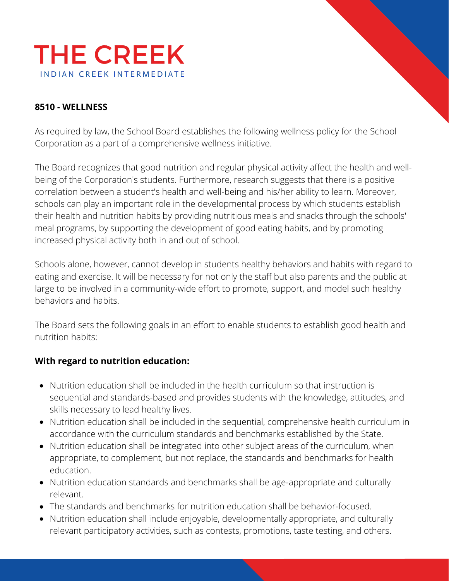

### **8510 - WELLNESS**

As required by law, the School Board establishes the following wellness policy for the School Corporation as a part of a comprehensive wellness initiative.

The Board recognizes that good nutrition and regular physical activity affect the health and wellbeing of the Corporation's students. Furthermore, research suggests that there is a positive correlation between a student's health and well-being and his/her ability to learn. Moreover, schools can play an important role in the developmental process by which students establish their health and nutrition habits by providing nutritious meals and snacks through the schools' meal programs, by supporting the development of good eating habits, and by promoting increased physical activity both in and out of school.

Schools alone, however, cannot develop in students healthy behaviors and habits with regard to eating and exercise. It will be necessary for not only the staff but also parents and the public at large to be involved in a community-wide effort to promote, support, and model such healthy behaviors and habits.

The Board sets the following goals in an effort to enable students to establish good health and nutrition habits:

#### **With regard to nutrition education:**

- Nutrition education shall be included in the health curriculum so that instruction is sequential and standards-based and provides students with the knowledge, attitudes, and skills necessary to lead healthy lives.
- Nutrition education shall be included in the sequential, comprehensive health curriculum in accordance with the curriculum standards and benchmarks established by the State.
- Nutrition education shall be integrated into other subject areas of the curriculum, when appropriate, to complement, but not replace, the standards and benchmarks for health education.
- Nutrition education standards and benchmarks shall be age-appropriate and culturally relevant.
- The standards and benchmarks for nutrition education shall be behavior-focused.
- Nutrition education shall include enjoyable, developmentally appropriate, and culturally relevant participatory activities, such as contests, promotions, taste testing, and others.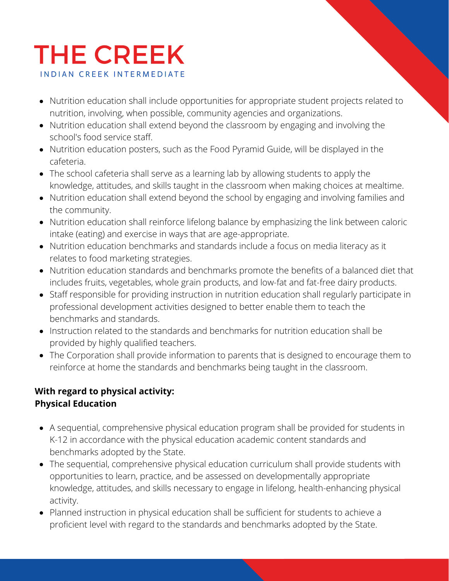# **THE CREEK INDIAN CREEK INTERMEDIATE**

- Nutrition education shall include opportunities for appropriate student projects related to nutrition, involving, when possible, community agencies and organizations.
- Nutrition education shall extend beyond the classroom by engaging and involving the school's food service staff.
- Nutrition education posters, such as the Food Pyramid Guide, will be displayed in the cafeteria.
- The school cafeteria shall serve as a learning lab by allowing students to apply the knowledge, attitudes, and skills taught in the classroom when making choices at mealtime.
- Nutrition education shall extend beyond the school by engaging and involving families and the community.
- Nutrition education shall reinforce lifelong balance by emphasizing the link between caloric intake (eating) and exercise in ways that are age-appropriate.
- Nutrition education benchmarks and standards include a focus on media literacy as it relates to food marketing strategies.
- Nutrition education standards and benchmarks promote the benefits of a balanced diet that includes fruits, vegetables, whole grain products, and low-fat and fat-free dairy products.
- Staff responsible for providing instruction in nutrition education shall regularly participate in professional development activities designed to better enable them to teach the benchmarks and standards.
- Instruction related to the standards and benchmarks for nutrition education shall be provided by highly qualified teachers.
- The Corporation shall provide information to parents that is designed to encourage them to reinforce at home the standards and benchmarks being taught in the classroom.

## **With regard to physical activity: Physical Education**

- A sequential, comprehensive physical education program shall be provided for students in K-12 in accordance with the physical education academic content standards and benchmarks adopted by the State.
- The sequential, comprehensive physical education curriculum shall provide students with opportunities to learn, practice, and be assessed on developmentally appropriate knowledge, attitudes, and skills necessary to engage in lifelong, health-enhancing physical activity.
- Planned instruction in physical education shall be sufficient for students to achieve a proficient level with regard to the standards and benchmarks adopted by the State.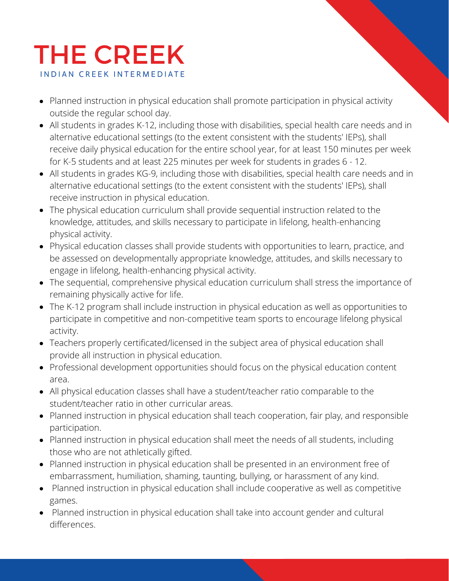# **THE CREEK INDIAN CREEK INTERMEDIATE**

- Planned instruction in physical education shall promote participation in physical activity outside the regular school day.
- All students in grades K-12, including those with disabilities, special health care needs and in alternative educational settings (to the extent consistent with the students' IEPs), shall receive daily physical education for the entire school year, for at least 150 minutes per week for K-5 students and at least 225 minutes per week for students in grades 6 - 12.
- All students in grades KG-9, including those with disabilities, special health care needs and in alternative educational settings (to the extent consistent with the students' IEPs), shall receive instruction in physical education.
- The physical education curriculum shall provide sequential instruction related to the knowledge, attitudes, and skills necessary to participate in lifelong, health-enhancing physical activity.
- Physical education classes shall provide students with opportunities to learn, practice, and be assessed on developmentally appropriate knowledge, attitudes, and skills necessary to engage in lifelong, health-enhancing physical activity.
- The sequential, comprehensive physical education curriculum shall stress the importance of remaining physically active for life.
- The K-12 program shall include instruction in physical education as well as opportunities to participate in competitive and non-competitive team sports to encourage lifelong physical activity.
- Teachers properly certificated/licensed in the subject area of physical education shall provide all instruction in physical education.
- Professional development opportunities should focus on the physical education content area.
- All physical education classes shall have a student/teacher ratio comparable to the student/teacher ratio in other curricular areas.
- Planned instruction in physical education shall teach cooperation, fair play, and responsible participation.
- Planned instruction in physical education shall meet the needs of all students, including those who are not athletically gifted.
- Planned instruction in physical education shall be presented in an environment free of embarrassment, humiliation, shaming, taunting, bullying, or harassment of any kind.
- Planned instruction in physical education shall include cooperative as well as competitive games.
- Planned instruction in physical education shall take into account gender and cultural differences.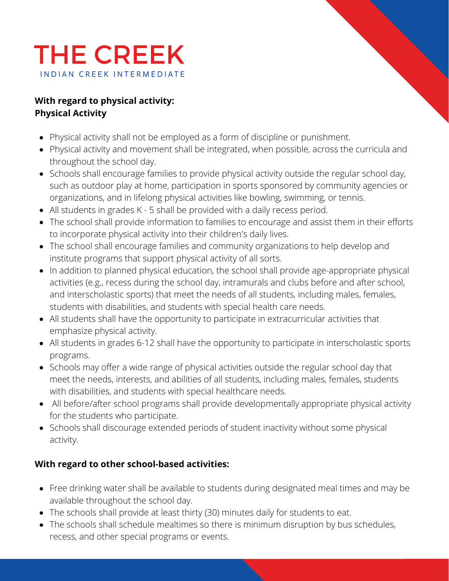

## **With regard to physical activity: Physical Activity**

- Physical activity shall not be employed as a form of discipline or punishment.
- Physical activity and movement shall be integrated, when possible, across the curricula and throughout the school day.
- Schools shall encourage families to provide physical activity outside the regular school day, such as outdoor play at home, participation in sports sponsored by community agencies or organizations, and in lifelong physical activities like bowling, swimming, or tennis.
- All students in grades K 5 shall be provided with a daily recess period.
- The school shall provide information to families to encourage and assist them in their efforts to incorporate physical activity into their children's daily lives.
- The school shall encourage families and community organizations to help develop and institute programs that support physical activity of all sorts.
- In addition to planned physical education, the school shall provide age-appropriate physical activities (e.g., recess during the school day, intramurals and clubs before and after school, and interscholastic sports) that meet the needs of all students, including males, females, students with disabilities, and students with special health care needs.
- All students shall have the opportunity to participate in extracurricular activities that emphasize physical activity.
- All students in grades 6-12 shall have the opportunity to participate in interscholastic sports programs.
- Schools may offer a wide range of physical activities outside the regular school day that meet the needs, interests, and abilities of all students, including males, females, students with disabilities, and students with special healthcare needs.
- All before/after school programs shall provide developmentally appropriate physical activity for the students who participate.
- Schools shall discourage extended periods of student inactivity without some physical activity.

### **With regard to other school-based activities:**

- Free drinking water shall be available to students during designated meal times and may be available throughout the school day.
- The schools shall provide at least thirty (30) minutes daily for students to eat.
- The schools shall schedule mealtimes so there is minimum disruption by bus schedules, recess, and other special programs or events.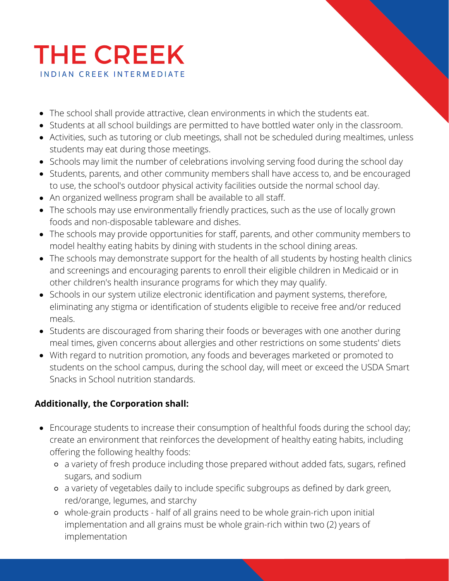

- The school shall provide attractive, clean environments in which the students eat.
- Students at all school buildings are permitted to have bottled water only in the classroom.
- Activities, such as tutoring or club meetings, shall not be scheduled during mealtimes, unless students may eat during those meetings.
- Schools may limit the number of celebrations involving serving food during the school day
- Students, parents, and other community members shall have access to, and be encouraged to use, the school's outdoor physical activity facilities outside the normal school day.
- An organized wellness program shall be available to all staff.
- The schools may use environmentally friendly practices, such as the use of locally grown foods and non-disposable tableware and dishes.
- The schools may provide opportunities for staff, parents, and other community members to model healthy eating habits by dining with students in the school dining areas.
- The schools may demonstrate support for the health of all students by hosting health clinics and screenings and encouraging parents to enroll their eligible children in Medicaid or in other children's health insurance programs for which they may qualify.
- Schools in our system utilize electronic identification and payment systems, therefore, eliminating any stigma or identification of students eligible to receive free and/or reduced meals.
- Students are discouraged from sharing their foods or beverages with one another during meal times, given concerns about allergies and other restrictions on some students' diets
- With regard to nutrition promotion, any foods and beverages marketed or promoted to students on the school campus, during the school day, will meet or exceed the USDA Smart Snacks in School nutrition standards.

## **Additionally, the Corporation shall:**

- Encourage students to increase their consumption of healthful foods during the school day; create an environment that reinforces the development of healthy eating habits, including offering the following healthy foods:
	- a variety of fresh produce including those prepared without added fats, sugars, refined sugars, and sodium
	- a variety of vegetables daily to include specific subgroups as defined by dark green, red/orange, legumes, and starchy
	- whole-grain products half of all grains need to be whole grain-rich upon initial implementation and all grains must be whole grain-rich within two (2) years of implementation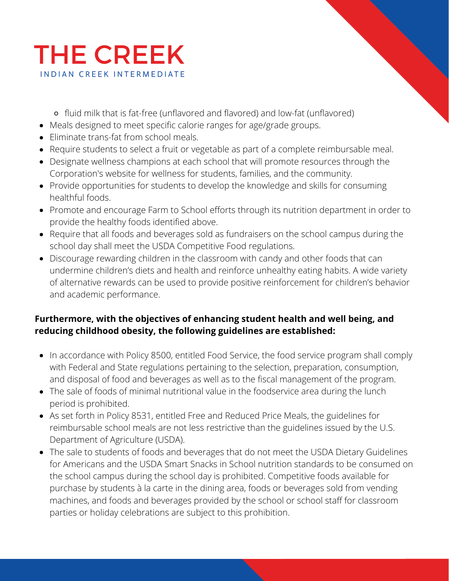

fluid milk that is fat-free (unflavored and flavored) and low-fat (unflavored)

- Meals designed to meet specific calorie ranges for age/grade groups.
- Eliminate trans-fat from school meals.
- Require students to select a fruit or vegetable as part of a complete reimbursable meal.
- Designate wellness champions at each school that will promote resources through the Corporation's website for wellness for students, families, and the community.
- Provide opportunities for students to develop the knowledge and skills for consuming healthful foods.
- Promote and encourage Farm to School efforts through its nutrition department in order to provide the healthy foods identified above.
- Require that all foods and beverages sold as fundraisers on the school campus during the school day shall meet the USDA Competitive Food regulations.
- Discourage rewarding children in the classroom with candy and other foods that can undermine children's diets and health and reinforce unhealthy eating habits. A wide variety of alternative rewards can be used to provide positive reinforcement for children's behavior and academic performance.

## **Furthermore, with the objectives of enhancing student health and well being, and reducing childhood obesity, the following guidelines are established:**

- In accordance with Policy 8500, entitled Food Service, the food service program shall comply with Federal and State regulations pertaining to the selection, preparation, consumption, and disposal of food and beverages as well as to the fiscal management of the program.
- The sale of foods of minimal nutritional value in the foodservice area during the lunch period is prohibited.
- As set forth in Policy 8531, entitled Free and Reduced Price Meals, the guidelines for reimbursable school meals are not less restrictive than the guidelines issued by the U.S. Department of Agriculture (USDA).
- The sale to students of foods and beverages that do not meet the USDA Dietary Guidelines for Americans and the USDA Smart Snacks in School nutrition standards to be consumed on the school campus during the school day is prohibited. Competitive foods available for purchase by students à la carte in the dining area, foods or beverages sold from vending machines, and foods and beverages provided by the school or school staff for classroom parties or holiday celebrations are subject to this prohibition.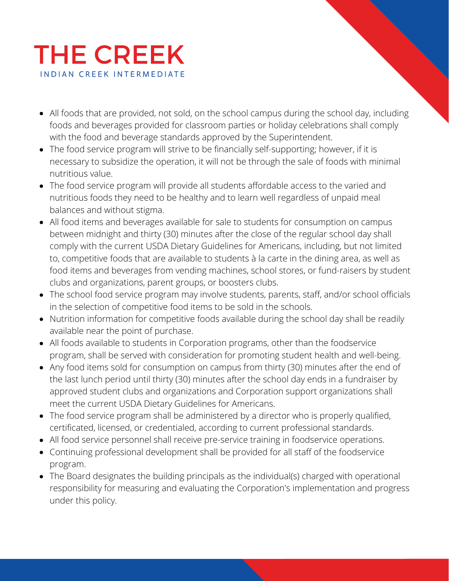# **THE CREEK INDIAN CREEK INTERMEDIATE**

- All foods that are provided, not sold, on the school campus during the school day, including foods and beverages provided for classroom parties or holiday celebrations shall comply with the food and beverage standards approved by the Superintendent.
- The food service program will strive to be financially self-supporting; however, if it is necessary to subsidize the operation, it will not be through the sale of foods with minimal nutritious value.
- The food service program will provide all students affordable access to the varied and nutritious foods they need to be healthy and to learn well regardless of unpaid meal balances and without stigma.
- All food items and beverages available for sale to students for consumption on campus between midnight and thirty (30) minutes after the close of the regular school day shall comply with the current USDA Dietary Guidelines for Americans, including, but not limited to, competitive foods that are available to students à la carte in the dining area, as well as food items and beverages from vending machines, school stores, or fund-raisers by student clubs and organizations, parent groups, or boosters clubs.
- The school food service program may involve students, parents, staff, and/or school officials in the selection of competitive food items to be sold in the schools.
- Nutrition information for competitive foods available during the school day shall be readily available near the point of purchase.
- All foods available to students in Corporation programs, other than the foodservice program, shall be served with consideration for promoting student health and well-being.
- Any food items sold for consumption on campus from thirty (30) minutes after the end of the last lunch period until thirty (30) minutes after the school day ends in a fundraiser by approved student clubs and organizations and Corporation support organizations shall meet the current USDA Dietary Guidelines for Americans.
- The food service program shall be administered by a director who is properly qualified, certificated, licensed, or credentialed, according to current professional standards.
- All food service personnel shall receive pre-service training in foodservice operations.
- Continuing professional development shall be provided for all staff of the foodservice program.
- The Board designates the building principals as the individual(s) charged with operational responsibility for measuring and evaluating the Corporation's implementation and progress under this policy.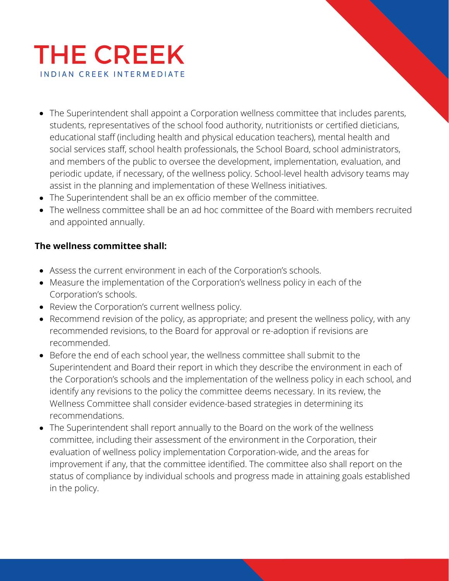

- The Superintendent shall appoint a Corporation wellness committee that includes parents, students, representatives of the school food authority, nutritionists or certified dieticians, educational staff (including health and physical education teachers), mental health and social services staff, school health professionals, the School Board, school administrators, and members of the public to oversee the development, implementation, evaluation, and periodic update, if necessary, of the wellness policy. School-level health advisory teams may assist in the planning and implementation of these Wellness initiatives.
- The Superintendent shall be an ex officio member of the committee.
- The wellness committee shall be an ad hoc committee of the Board with members recruited and appointed annually.

### **The wellness committee shall:**

- Assess the current environment in each of the Corporation's schools.
- Measure the implementation of the Corporation's wellness policy in each of the Corporation's schools.
- Review the Corporation's current wellness policy.
- Recommend revision of the policy, as appropriate; and present the wellness policy, with any recommended revisions, to the Board for approval or re-adoption if revisions are recommended.
- Before the end of each school year, the wellness committee shall submit to the Superintendent and Board their report in which they describe the environment in each of the Corporation's schools and the implementation of the wellness policy in each school, and identify any revisions to the policy the committee deems necessary. In its review, the Wellness Committee shall consider evidence-based strategies in determining its recommendations.
- The Superintendent shall report annually to the Board on the work of the wellness committee, including their assessment of the environment in the Corporation, their evaluation of wellness policy implementation Corporation-wide, and the areas for improvement if any, that the committee identified. The committee also shall report on the status of compliance by individual schools and progress made in attaining goals established in the policy.